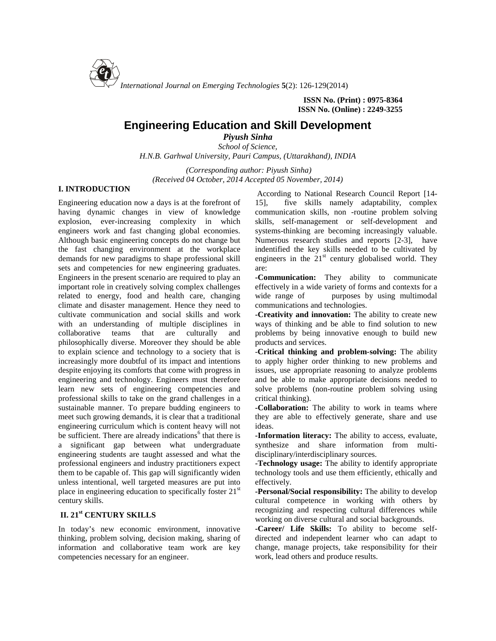

**ISSN No. (Print) : 0975-8364 ISSN No. (Online) : 2249-3255**

# **Engineering Education and Skill Development**

*Piyush Sinha School of Science, H.N.B. Garhwal University, Pauri Campus, (Uttarakhand), INDIA*

*(Corresponding author: Piyush Sinha) (Received 04 October, 2014 Accepted 05 November, 2014)*

### **I. INTRODUCTION**

Engineering education now a days is at the forefront of 15, having dynamic changes in view of knowledge explosion, ever-increasing complexity in which engineers work and fast changing global economies. Although basic engineering concepts do not change but the fast changing environment at the workplace demands for new paradigms to shape professional skill sets and competencies for new engineering graduates. Engineers in the present scenario are required to play an important role in creatively solving complex challenges related to energy, food and health care, changing climate and disaster management. Hence they need to cultivate communication and social skills and work with an understanding of multiple disciplines in collaborative teams that are culturally and philosophically diverse. Moreover they should be able to explain science and technology to a society that is increasingly more doubtful of its impact and intentions despite enjoying its comforts that come with progress in engineering and technology. Engineers must therefore learn new sets of engineering competencies and professional skills to take on the grand challenges in a sustainable manner. To prepare budding engineers to meet such growing demands, it is clear that a traditional engineering curriculum which is content heavy will not be sufficient. There are already indications<sup>6</sup> that there is -In a significant gap between what undergraduate engineering students are taught assessed and what the professional engineers and industry practitioners expect them to be capable of. This gap will significantly widen unless intentional, well targeted measures are put into place in engineering education to specifically foster 21<sup>st</sup> century skills.

### **II. 21st CENTURY SKILLS**

In today's new economic environment, innovative thinking, problem solving, decision making, sharing of information and collaborative team work are key competencies necessary for an engineer.

According to National Research Council Report [14 five skills namely adaptability, complex communication skills, non -routine problem solving skills, self-management or self-development and systems-thinking are becoming increasingly valuable. Numerous research studies and reports [2-3], have indentified the key skills needed to be cultivated by engineers in the  $21<sup>st</sup>$  century globalised world. They are:

**-Communication:** They ability to communicate effectively in a wide variety of forms and contexts for a purposes by using multimodal communications and technologies.

**-Creativity and innovation:** The ability to create new ways of thinking and be able to find solution to new problems by being innovative enough to build new products and services.

-**Critical thinking and problem-solving:** The ability to apply higher order thinking to new problems and issues, use appropriate reasoning to analyze problems and be able to make appropriate decisions needed to solve problems (non-routine problem solving using critical thinking).

**-Collaboration:** The ability to work in teams where they are able to effectively generate, share and use ideas.

**-Information literacy:** The ability to access, evaluate, synthesize and share information from multi disciplinary/interdisciplinary sources.

**-Technology usage:** The ability to identify appropriate technology tools and use them efficiently, ethically and effectively.

**-Personal/Social responsibility:** The ability to develop cultural competence in working with others by recognizing and respecting cultural differences while working on diverse cultural and social backgrounds.

**-Career/ Life Skills:** To ability to become self directed and independent learner who can adapt to change, manage projects, take responsibility for their work, lead others and produce results.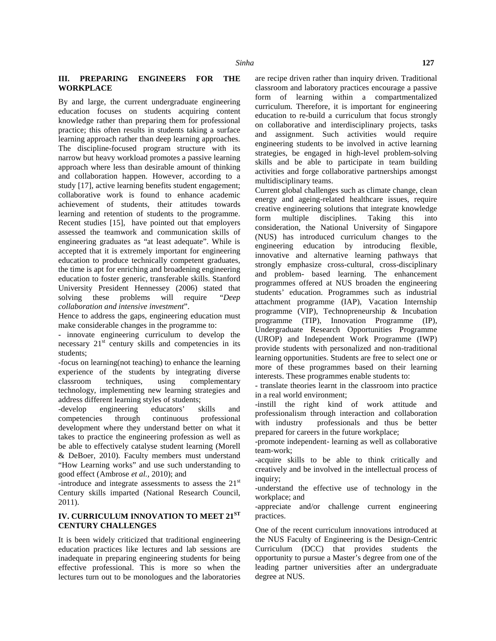### **III. PREPARING ENGINEERS FOR THE WORKPLACE**

By and large, the current undergraduate engineering education focuses on students acquiring content knowledge rather than preparing them for professional practice; this often results in students taking a surface learning approach rather than deep learning approaches. The discipline-focused program structure with its narrow but heavy workload promotes a passive learning approach where less than desirable amount of thinking and collaboration happen. However, according to a study [17], active learning benefits student engagement; collaborative work is found to enhance academic achievement of students, their attitudes towards learning and retention of students to the programme. form Recent studies [15], have pointed out that employers assessed the teamwork and communication skills of engineering graduates as "at least adequate". While is accepted that it is extremely important for engineering education to produce technically competent graduates, the time is apt for enriching and broadening engineering education to foster generic, transferable skills. Stanford University President Hennessey (2006) stated that solving these problems will require "*Deep collaboration and intensive investment*".

Hence to address the gaps, engineering education must make considerable changes in the programme to:

- innovate engineering curriculum to develop the necessary  $21<sup>st</sup>$  century skills and competencies in its students;

-focus on learning(not teaching) to enhance the learning experience of the students by integrating diverse classroom techniques, using complementary technology, implementing new learning strategies and address different learning styles of students;

-develop engineering educators' skills and competencies through continuous professional processional with industry development where they understand better on what it takes to practice the engineering profession as well as be able to effectively catalyse student learning (Morell & DeBoer, 2010). Faculty members must understand "How Learning works" and use such understanding to good effect (Ambrose *et al.,* 2010); and

-introduce and integrate assessments to assess the  $21<sup>st</sup>$ Century skills imparted (National Research Council, 2011).

## **IV. CURRICULUM INNOVATION TO MEET 21ST CENTURY CHALLENGES**

It is been widely criticized that traditional engineering education practices like lectures and lab sessions are inadequate in preparing engineering students for being effective professional. This is more so when the lectures turn out to be monologues and the laboratories

are recipe driven rather than inquiry driven. Traditional classroom and laboratory practices encourage a passive form of learning within a compartmentalized curriculum. Therefore, it is important for engineering education to re-build a curriculum that focus strongly on collaborative and interdisciplinary projects, tasks and assignment. Such activities would require engineering students to be involved in active learning strategies, be engaged in high-level problem-solving skills and be able to participate in team building activities and forge collaborative partnerships amongst multidisciplinary teams.

Current global challenges such as climate change, clean energy and ageing-related healthcare issues, require creative engineering solutions that integrate knowledge multiple disciplines. Taking this into consideration, the National University of Singapore (NUS) has introduced curriculum changes to the engineering education by introducing flexible, innovative and alternative learning pathways that strongly emphasize cross-cultural, cross-disciplinary and problem- based learning. The enhancement programmes offered at NUS broaden the engineering students' education. Programmes such as industrial attachment programme (IAP), Vacation Internship programme (VIP), Technopreneurship & Incubation programme (TIP), Innovation Programme (IP), Undergraduate Research Opportunities Programme (UROP) and Independent Work Programme (IWP) provide students with personalized and non-traditional learning opportunities. Students are free to select one or more of these programmes based on their learning interests. These programmes enable students to:

- translate theories learnt in the classroom into practice in a real world environment;

-instill the right kind of work attitude and professionalism through interaction and collaboration professionals and thus be better prepared for careers in the future workplace;

-promote independent- learning as well as collaborative team-work;

-acquire skills to be able to think critically and creatively and be involved in the intellectual process of inquiry;

-understand the effective use of technology in the workplace; and

-appreciate and/or challenge current engineering practices.

One of the recent curriculum innovations introduced at the NUS Faculty of Engineering is the Design-Centric Curriculum (DCC) that provides students the opportunity to pursue a Master's degree from one of the leading partner universities after an undergraduate degree at NUS.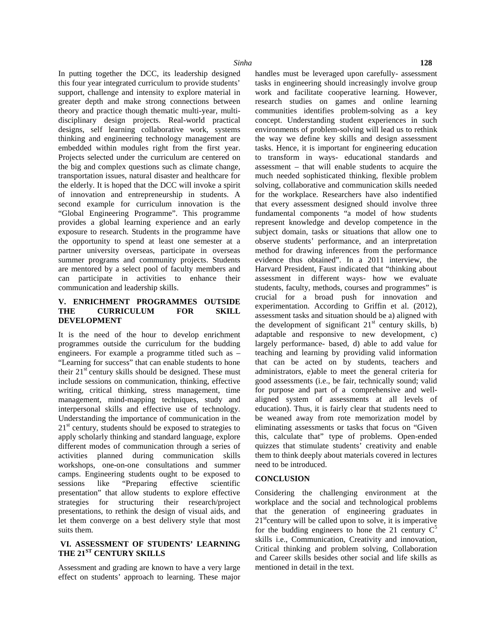In putting together the DCC, its leadership designed this four year integrated curriculum to provide students' support, challenge and intensity to explore material in greater depth and make strong connections between theory and practice though thematic multi-year, multi disciplinary design projects. Real-world practical designs, self learning collaborative work, systems thinking and engineering technology management are embedded within modules right from the first year. Projects selected under the curriculum are centered on the big and complex questions such as climate change, transportation issues, natural disaster and healthcare for the elderly. It is hoped that the DCC will invoke a spirit of innovation and entrepreneurship in students. A second example for curriculum innovation is the "Global Engineering Programme". This programme provides a global learning experience and an early exposure to research. Students in the programme have the opportunity to spend at least one semester at a partner university overseas, participate in overseas summer programs and community projects. Students are mentored by a select pool of faculty members and can participate in activities to enhance their communication and leadership skills.

### **V. ENRICHMENT PROGRAMMES OUTSIDE THE CURRICULUM FOR SKILL DEVELOPMENT**

It is the need of the hour to develop enrichment programmes outside the curriculum for the budding engineers. For example a programme titled such as – "Learning for success" that can enable students to hone their  $21^{st}$  century skills should be designed. These must include sessions on communication, thinking, effective writing, critical thinking, stress management, time management, mind-mapping techniques, study and interpersonal skills and effective use of technology. Understanding the importance of communication in the  $21<sup>st</sup>$  century, students should be exposed to strategies to apply scholarly thinking and standard language, explore different modes of communication through a series of activities planned during communication skills workshops, one-on-one consultations and summer camps. Engineering students ought to be exposed to sessions like "Preparing effective scientific presentation" that allow students to explore effective strategies for structuring their research/project presentations, to rethink the design of visual aids, and let them converge on a best delivery style that most suits them.

### **VI. ASSESSMENT OF STUDENTS' LEARNING THE 21ST CENTURY SKILLS**

Assessment and grading are known to have a very large effect on students' approach to learning. These major handles must be leveraged upon carefully- assessment tasks in engineering should increasingly involve group work and facilitate cooperative learning. However, research studies on games and online learning communities identifies problem-solving as a key concept. Understanding student experiences in such environments of problem-solving will lead us to rethink the way we define key skills and design assessment tasks. Hence, it is important for engineering education to transform in ways- educational standards and assessment – that will enable students to acquire the much needed sophisticated thinking, flexible problem solving, collaborative and communication skills needed for the workplace. Researchers have also indentified that every assessment designed should involve three fundamental components "a model of how students represent knowledge and develop competence in the subject domain, tasks or situations that allow one to observe students' performance, and an interpretation method for drawing inferences from the performance evidence thus obtained". In a 2011 interview, the Harvard President, Faust indicated that "thinking about assessment in different ways- how we evaluate students, faculty, methods, courses and programmes" is crucial for a broad push for innovation and experimentation. According to Griffin et al. (2012), assessment tasks and situation should be a) aligned with the development of significant  $21<sup>st</sup>$  century skills, b) adaptable and responsive to new development, c) largely performance- based, d) able to add value for teaching and learning by providing valid information that can be acted on by students, teachers and administrators, e)able to meet the general criteria for good assessments (i.e., be fair, technically sound; valid for purpose and part of a comprehensive and well aligned system of assessments at all levels of education). Thus, it is fairly clear that students need to be weaned away from rote memorization model by eliminating assessments or tasks that focus on "Given this, calculate that" type of problems. Open-ended quizzes that stimulate students' creativity and enable them to think deeply about materials covered in lectures need to be introduced.

### **CONCLUSION**

Considering the challenging environment at the workplace and the social and technological problems that the generation of engineering graduates in  $21<sup>st</sup>$ century will be called upon to solve, it is imperative for the budding engineers to hone the 21 century  $C^5$ skills i.e., Communication, Creativity and innovation, Critical thinking and problem solving, Collaboration and Career skills besides other social and life skills as mentioned in detail in the text.